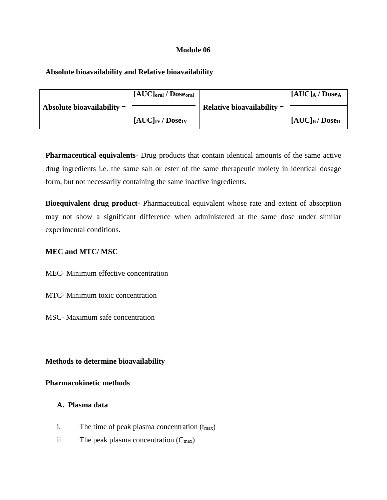## **Module 06**

## **Absolute bioavailability and Relative bioavailability**

|                              | $[AUC]$ <sub>oral</sub> / Dose <sub>oral</sub> |                              | $[AUC]_A /$ Dosea             |
|------------------------------|------------------------------------------------|------------------------------|-------------------------------|
| Absolute bioavailability $=$ |                                                | Relative bioavailability $=$ |                               |
|                              | $[AUC]$ <sub>IV</sub> / Dose <sub>IV</sub>     |                              | $[AUC]_B /$ Dose <sub>B</sub> |

**Pharmaceutical equivalents-** Drug products that contain identical amounts of the same active drug ingredients i.e. the same salt or ester of the same therapeutic moiety in identical dosage form, but not necessarily containing the same inactive ingredients.

**Bioequivalent drug product-** Pharmaceutical equivalent whose rate and extent of absorption may not show a significant difference when administered at the same dose under similar experimental conditions.

#### **MEC and MTC/ MSC**

MEC- Minimum effective concentration

MTC- Minimum toxic concentration

MSC- Maximum safe concentration

**Methods to determine bioavailability**

#### **Pharmacokinetic methods**

# **A. Plasma data**

- i. The time of peak plasma concentration  $(t_{max})$
- ii. The peak plasma concentration  $(C_{\text{max}})$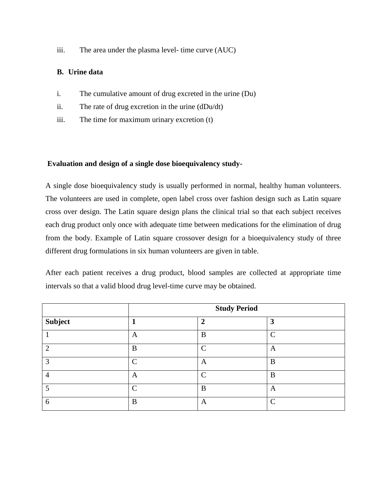iii. The area under the plasma level- time curve (AUC)

# **B. Urine data**

- i. The cumulative amount of drug excreted in the urine (Du)
- ii. The rate of drug excretion in the urine (dDu/dt)
- iii. The time for maximum urinary excretion (t)

# **Evaluation and design of a single dose bioequivalency study-**

A single dose bioequivalency study is usually performed in normal, healthy human volunteers. The volunteers are used in complete, open label cross over fashion design such as Latin square cross over design. The Latin square design plans the clinical trial so that each subject receives each drug product only once with adequate time between medications for the elimination of drug from the body. Example of Latin square crossover design for a bioequivalency study of three different drug formulations in six human volunteers are given in table.

After each patient receives a drug product, blood samples are collected at appropriate time intervals so that a valid blood drug level-time curve may be obtained.

|         | <b>Study Period</b> |              |                   |  |
|---------|---------------------|--------------|-------------------|--|
| Subject |                     | $\mathbf{2}$ | 3                 |  |
|         | A                   | B            | $\cap$            |  |
| റ       | B                   | $\Gamma$     | A                 |  |
| っ       | $\curvearrowright$  | A            | B                 |  |
| 4       | A                   | $\Gamma$     | B                 |  |
|         | ⌒                   | B            | A                 |  |
| 6       | B                   | A            | $\mathsf{\Gamma}$ |  |